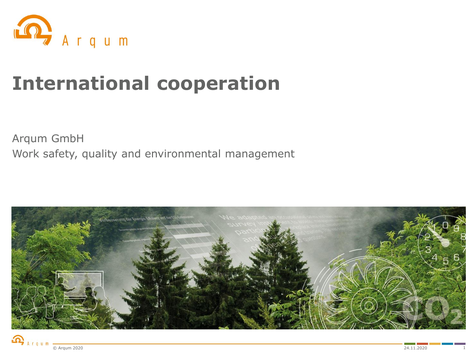

# **International cooperation**

Arqum GmbH Work safety, quality and environmental management



$$
\bigcap_{A \text{ r } q \text{ u } m} \frac{1}{\text{C Argum } 2020}
$$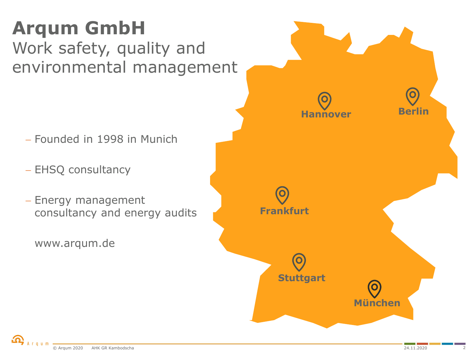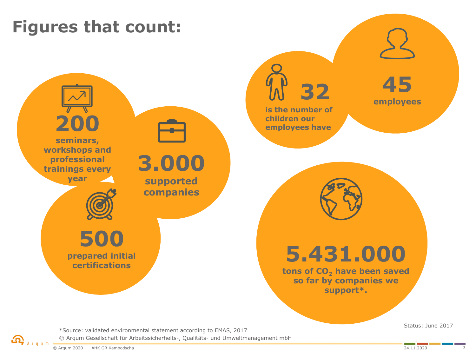# **Figures that count:**



© Arqum Gesellschaft für Arbeitssicherheits-, Qualitäts- und Umweltmanagement mbH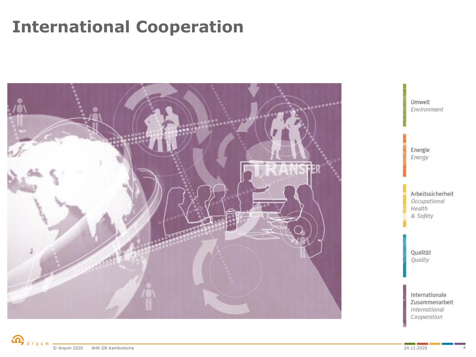### **International Cooperation**

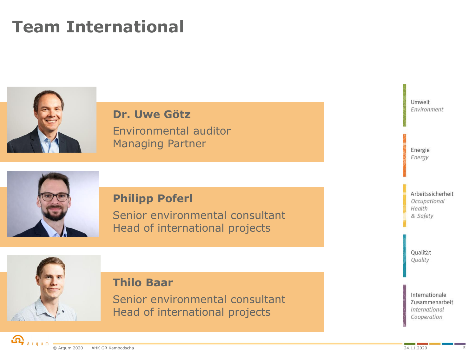## **Team International**



**Dr. Uwe Götz** Environmental auditor Managing Partner



#### **Philipp Poferl**

Senior environmental consultant Head of international projects



#### **Thilo Baar**

Senior environmental consultant Head of international projects



Qualität Quality

Internationale Zusammenarbeit **International** Cooperation

Umwelt Environment

Energie Energy

Arbeitssicherheit Occupational Health & Safety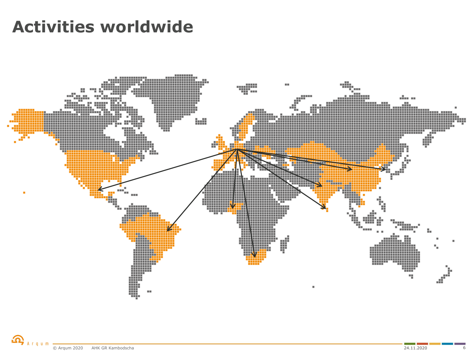#### **Activities worldwide**

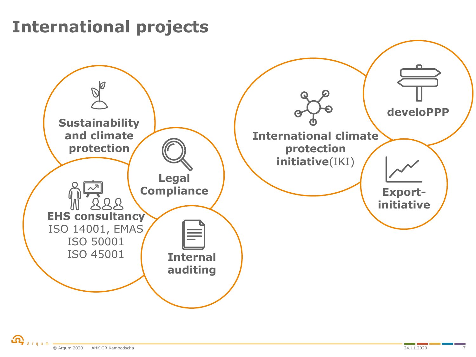### **International projects**

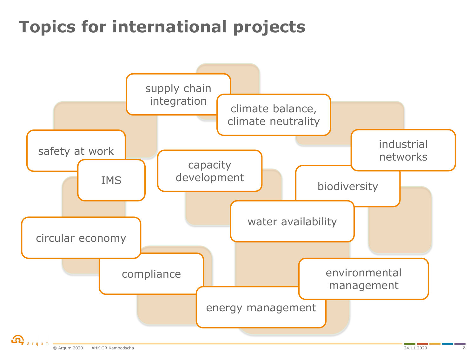# **Topics for international projects**